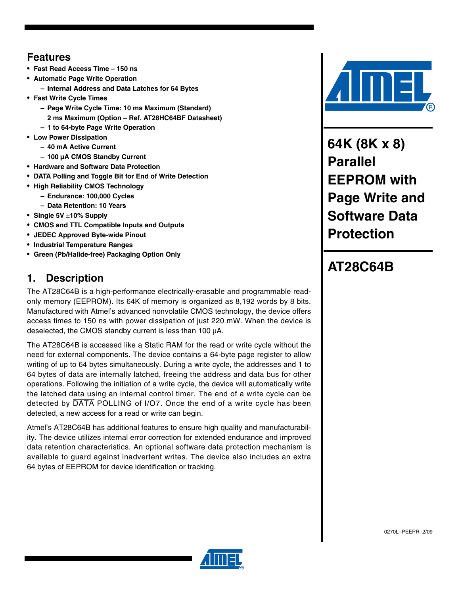## **Features**

- **Fast Read Access Time 150 ns**
- **Automatic Page Write Operation**
	- **Internal Address and Data Latches for 64 Bytes**
- **Fast Write Cycle Times**
	- **Page Write Cycle Time: 10 ms Maximum (Standard) 2 ms Maximum (Option – Ref. AT28HC64BF Datasheet)**
	- **1 to 64-byte Page Write Operation**
- **Low Power Dissipation**
	- **40 mA Active Current**
- **100 µA CMOS Standby Current**
- **Hardware and Software Data Protection**
- **DATA Polling and Toggle Bit for End of Write Detection**
- **High Reliability CMOS Technology**
	- **Endurance: 100,000 Cycles**
	- **Data Retention: 10 Years**
- **Single 5V** ±**10% Supply**
- **CMOS and TTL Compatible Inputs and Outputs**
- **JEDEC Approved Byte-wide Pinout**
- **Industrial Temperature Ranges**
- **Green (Pb/Halide-free) Packaging Option Only**

## **1. Description**

The AT28C64B is a high-performance electrically-erasable and programmable readonly memory (EEPROM). Its 64K of memory is organized as 8,192 words by 8 bits. Manufactured with Atmel's advanced nonvolatile CMOS technology, the device offers access times to 150 ns with power dissipation of just 220 mW. When the device is deselected, the CMOS standby current is less than 100 µA.

The AT28C64B is accessed like a Static RAM for the read or write cycle without the need for external components. The device contains a 64-byte page register to allow writing of up to 64 bytes simultaneously. During a write cycle, the addresses and 1 to 64 bytes of data are internally latched, freeing the address and data bus for other operations. Following the initiation of a write cycle, the device will automatically write the latched data using an internal control timer. The end of a write cycle can be detected by DATA POLLING of I/O7. Once the end of a write cycle has been detected, a new access for a read or write can begin.

Atmel's AT28C64B has additional features to ensure high quality and manufacturability. The device utilizes internal error correction for extended endurance and improved data retention characteristics. An optional software data protection mechanism is available to guard against inadvertent writes. The device also includes an extra 64 bytes of EEPROM for device identification or tracking.



**64K (8K x 8) Parallel EEPROM with Page Write and Software Data Protection**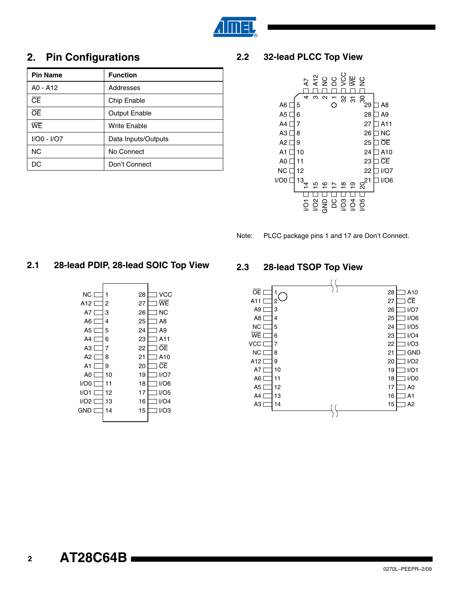

## **2. Pin Configurations**

| <b>Pin Name</b> | <b>Function</b>      |
|-----------------|----------------------|
| A0 - A12        | Addresses            |
| Œ               | Chip Enable          |
| <b>OE</b>       | <b>Output Enable</b> |
| <b>WE</b>       | Write Enable         |
| I/O0 - I/O7     | Data Inputs/Outputs  |
| <b>NC</b>       | No Connect           |
| DC              | Don't Connect        |

#### **2.2 32-lead PLCC Top View**



Note: PLCC package pins 1 and 17 are Don't Connect.

#### **2.1 28-lead PDIP, 28-lead SOIC Top View**



#### **2.3 28-lead TSOP Top View**



**2**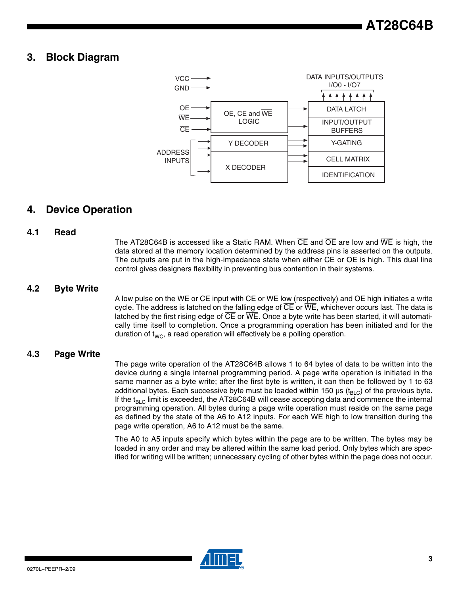#### **3. Block Diagram**



#### **4. Device Operation**

#### **4.1 Read**

The AT28C64B is accessed like a Static RAM. When CE and OE are low and WE is high, the data stored at the memory location determined by the address pins is asserted on the outputs. The outputs are put in the high-impedance state when either  $\overline{CE}$  or  $\overline{OE}$  is high. This dual line control gives designers flexibility in preventing bus contention in their systems.

#### **4.2 Byte Write**

A low pulse on the  $\overline{WE}$  or  $\overline{CE}$  input with  $\overline{CE}$  or  $\overline{WE}$  low (respectively) and  $\overline{OE}$  high initiates a write cycle. The address is latched on the falling edge of  $\overline{CE}$  or  $\overline{WE}$ , whichever occurs last. The data is latched by the first rising edge of  $\overline{\text{CE}}$  or  $\overline{\text{WE}}$ . Once a byte write has been started, it will automatically time itself to completion. Once a programming operation has been initiated and for the duration of  $t_{WC}$ , a read operation will effectively be a polling operation.

#### **4.3 Page Write**

The page write operation of the AT28C64B allows 1 to 64 bytes of data to be written into the device during a single internal programming period. A page write operation is initiated in the same manner as a byte write; after the first byte is written, it can then be followed by 1 to 63 additional bytes. Each successive byte must be loaded within 150 µs ( $t_{BIC}$ ) of the previous byte. If the  $t_{BLC}$  limit is exceeded, the AT28C64B will cease accepting data and commence the internal programming operation. All bytes during a page write operation must reside on the same page as defined by the state of the A6 to A12 inputs. For each  $\overline{\text{WE}}$  high to low transition during the page write operation, A6 to A12 must be the same.

The A0 to A5 inputs specify which bytes within the page are to be written. The bytes may be loaded in any order and may be altered within the same load period. Only bytes which are specified for writing will be written; unnecessary cycling of other bytes within the page does not occur.

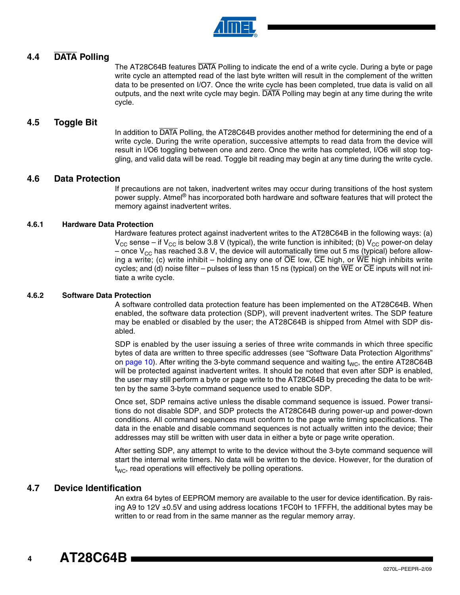

#### **4.4 DATA Polling**

The AT28C64B features DATA Polling to indicate the end of a write cycle. During a byte or page write cycle an attempted read of the last byte written will result in the complement of the written data to be presented on I/O7. Once the write cycle has been completed, true data is valid on all outputs, and the next write cycle may begin. DATA Polling may begin at any time during the write cycle.

#### **4.5 Toggle Bit**

In addition to DATA Polling, the AT28C64B provides another method for determining the end of a write cycle. During the write operation, successive attempts to read data from the device will result in I/O6 toggling between one and zero. Once the write has completed, I/O6 will stop toggling, and valid data will be read. Toggle bit reading may begin at any time during the write cycle.

#### **4.6 Data Protection**

If precautions are not taken, inadvertent writes may occur during transitions of the host system power supply. Atmel<sup>®</sup> has incorporated both hardware and software features that will protect the memory against inadvertent writes.

#### **4.6.1 Hardware Data Protection**

Hardware features protect against inadvertent writes to the AT28C64B in the following ways: (a)  $V_{\text{CC}}$  sense – if  $V_{\text{CC}}$  is below 3.8 V (typical), the write function is inhibited; (b)  $V_{\text{CC}}$  power-on delay – once  $V_{CC}$  has reached 3.8 V, the device will automatically time out 5 ms (typical) before allowing a write; (c) write inhibit – holding any one of  $\overline{OE}$  low,  $\overline{CE}$  high, or  $\overline{WE}$  high inhibits write cycles; and (d) noise filter – pulses of less than 15 ns (typical) on the  $\overline{\text{WE}}$  or  $\overline{\text{CE}}$  inputs will not initiate a write cycle.

#### **4.6.2 Software Data Protection**

A software controlled data protection feature has been implemented on the AT28C64B. When enabled, the software data protection (SDP), will prevent inadvertent writes. The SDP feature may be enabled or disabled by the user; the AT28C64B is shipped from Atmel with SDP disabled.

SDP is enabled by the user issuing a series of three write commands in which three specific bytes of data are written to three specific addresses (see "Software Data Protection Algorithms" on [page 10](#page-9-0)). After writing the 3-byte command sequence and waiting  $t_{\text{WC}}$ , the entire AT28C64B will be protected against inadvertent writes. It should be noted that even after SDP is enabled, the user may still perform a byte or page write to the AT28C64B by preceding the data to be written by the same 3-byte command sequence used to enable SDP.

Once set, SDP remains active unless the disable command sequence is issued. Power transitions do not disable SDP, and SDP protects the AT28C64B during power-up and power-down conditions. All command sequences must conform to the page write timing specifications. The data in the enable and disable command sequences is not actually written into the device; their addresses may still be written with user data in either a byte or page write operation.

After setting SDP, any attempt to write to the device without the 3-byte command sequence will start the internal write timers. No data will be written to the device. However, for the duration of  $t_{WC}$ , read operations will effectively be polling operations.

#### **4.7 Device Identification**

An extra 64 bytes of EEPROM memory are available to the user for device identification. By raising A9 to 12V  $\pm$ 0.5V and using address locations 1FC0H to 1FFFH, the additional bytes may be written to or read from in the same manner as the regular memory array.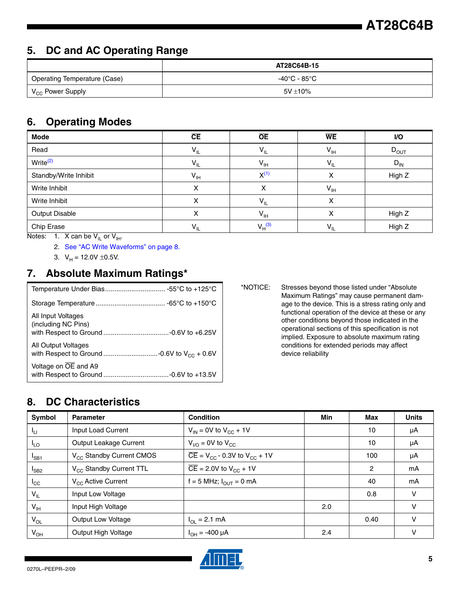# **AT28C64B**

## **5. DC and AC Operating Range**

|                              | AT28C64B-15   |
|------------------------------|---------------|
| Operating Temperature (Case) | -40°C - 85°C  |
| V <sub>CC</sub> Power Supply | $5V \pm 10\%$ |

#### **6. Operating Modes**

| <b>Mode</b>           | CE              | <b>OE</b>                  | <b>WE</b>       | I/O       |
|-----------------------|-----------------|----------------------------|-----------------|-----------|
| Read                  | $V_{IL}$        | $V_{IL}$                   | $V_{\text{IH}}$ | $D_{OUT}$ |
| Write <sup>(2)</sup>  | $V_{IL}$        | $V_{\text{IH}}$            | $V_{IL}$        | $D_{IN}$  |
| Standby/Write Inhibit | $V_{\text{IH}}$ | $X^{(1)}$                  | X               | High Z    |
| Write Inhibit         | х               | x                          | $V_{\text{IH}}$ |           |
| Write Inhibit         | Χ               | $V_{IL}$                   | х               |           |
| <b>Output Disable</b> | х               | $\mathsf{V}_{\mathsf{IH}}$ | x               | High Z    |
| Chip Erase            | $V_{IL}$        | $V_H^{(3)}$                | $V_{IL}$        | High Z    |

<span id="page-4-1"></span><span id="page-4-0"></span>Notes: 1. X can be  $V_{IL}$  or  $V_{IH}$ .

2. [See "AC Write Waveforms" on page 8.](#page-7-0)

3.  $V_H = 12.0V \pm 0.5V$ .

## <span id="page-4-2"></span>**7. Absolute Maximum Ratings\***

| All Input Voltages<br>(including NC Pins) |
|-------------------------------------------|
| <b>All Output Voltages</b>                |
| Voltage on OE and A9                      |

\*NOTICE: Stresses beyond those listed under "Absolute Maximum Ratings" may cause permanent damage to the device. This is a stress rating only and functional operation of the device at these or any other conditions beyond those indicated in the operational sections of this specification is not implied. Exposure to absolute maximum rating conditions for extended periods may affect device reliability

## **8. DC Characteristics**

| Symbol          | <b>Parameter</b>                     | <b>Condition</b>                                                 | <b>Min</b> | <b>Max</b> | <b>Units</b> |
|-----------------|--------------------------------------|------------------------------------------------------------------|------------|------------|--------------|
| $I_{LI}$        | Input Load Current                   | $V_{IN}$ = 0V to $V_{CC}$ + 1V                                   |            | 10         | μA           |
| $I_{LO}$        | Output Leakage Current               | $V_{\text{U}\Omega}$ = 0V to $V_{\text{CC}}$                     |            | 10         | μA           |
| $I_{SB1}$       | V <sub>CC</sub> Standby Current CMOS | $\overline{CE}$ = V <sub>CC</sub> - 0.3V to V <sub>CC</sub> + 1V |            | 100        | μA           |
| $I_{SB2}$       | V <sub>CC</sub> Standby Current TTL  | $\overline{CE}$ = 2.0V to V <sub>CC</sub> + 1V                   |            | 2          | mA           |
| $I_{\rm CC}$    | $V_{CC}$ Active Current              | $f = 5$ MHz; $I_{\text{OUT}} = 0$ mA                             |            | 40         | mA           |
| $V_{IL}$        | Input Low Voltage                    |                                                                  |            | 0.8        | ν            |
| V <sub>IH</sub> | Input High Voltage                   |                                                                  | 2.0        |            | v            |
| $V_{OL}$        | Output Low Voltage                   | $I_{\text{OI}} = 2.1 \text{ mA}$                                 |            | 0.40       | v            |
| $V_{OH}$        | Output High Voltage                  | $I_{OH} = -400 \mu A$                                            | 2.4        |            | ν            |

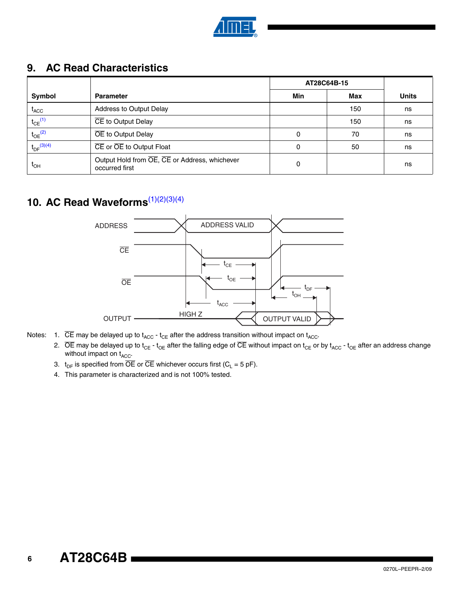

## <span id="page-5-4"></span>**9. AC Read Characteristics**

|                             |                                                                 | AT28C64B-15 |     |              |
|-----------------------------|-----------------------------------------------------------------|-------------|-----|--------------|
| Symbol                      | <b>Parameter</b>                                                | Min         | Max | <b>Units</b> |
| $\mathfrak{t}_{\text{ACC}}$ | Address to Output Delay                                         |             | 150 | ns           |
| $t_{CE}$ <sup>(1)</sup>     | CE to Output Delay                                              |             | 150 | ns           |
| $t_{OE}$ <sup>(2)</sup>     | OE to Output Delay                                              | 0           | 70  | ns           |
| $t_{DF}$ (3)(4)             | CE or OE to Output Float                                        | 0           | 50  | ns           |
| $t_{OH}$                    | Output Hold from OE, CE or Address, whichever<br>occurred first | 0           |     | ns           |

## **10. AC Read Waveforms**<sup>[\(1\)](#page-5-2)[\(2\)](#page-5-0)[\(3\)](#page-5-1)[\(4\)](#page-5-3)</sup>



- <span id="page-5-3"></span><span id="page-5-2"></span><span id="page-5-1"></span><span id="page-5-0"></span>Notes: 1.  $\overline{CE}$  may be delayed up to  $t_{ACC}$  -  $t_{CE}$  after the address transition without impact on  $t_{ACC}$ .
	- 2.  $\overline{OE}$  may be delayed up to t<sub>CE</sub> t<sub>OE</sub> after the falling edge of  $\overline{CE}$  without impact on t<sub>CE</sub> or by t<sub>ACC</sub> t<sub>OE</sub> after an address change without impact on  $t_{\text{ACC}}$ .
	- 3.  $t_{DF}$  is specified from  $\overline{OE}$  or  $\overline{CE}$  whichever occurs first (C<sub>L</sub> = 5 pF).
	- 4. This parameter is characterized and is not 100% tested.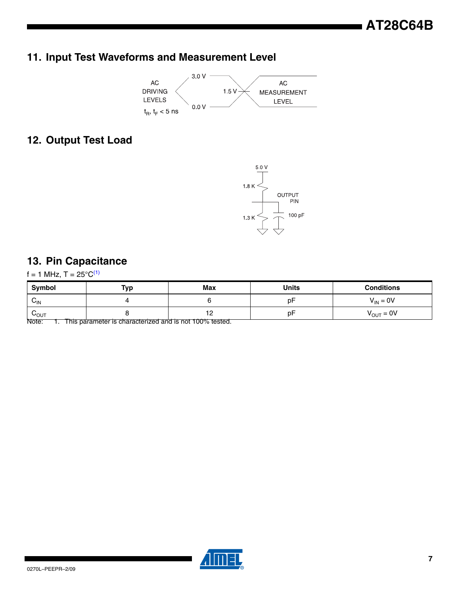## **11. Input Test Waveforms and Measurement Level**



#### **12. Output Test Load**



#### **13. Pin Capacitance**

 $f = 1$  MHz, T =  $25^{\circ}C^{(1)}$  $25^{\circ}C^{(1)}$  $25^{\circ}C^{(1)}$ 

| Symbol                      | <b>Typ</b> | Max | <b>Units</b> | <b>Conditions</b>     |
|-----------------------------|------------|-----|--------------|-----------------------|
| $v_{\text{IN}}$             |            |     | рF           | $V_{IN} = 0V$         |
| $\mathsf{v}_{\mathsf{OUT}}$ |            | . . | рF           | $V_{\text{OUT}} = 0V$ |

<span id="page-6-0"></span>Note: 1. This parameter is characterized and is not 100% tested.

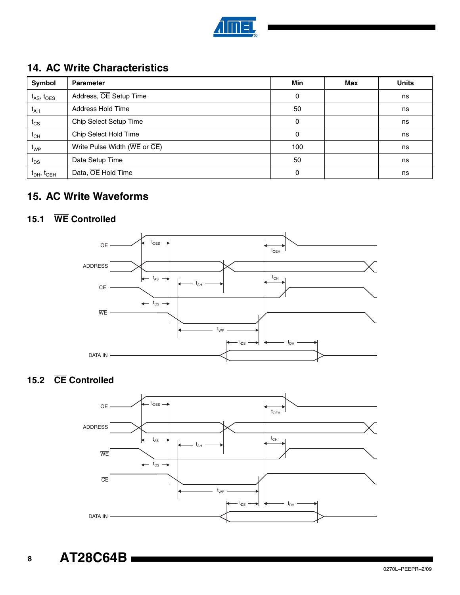

## **14. AC Write Characteristics**

| Symbol                     | <b>Parameter</b>                                                       | Min | Max | <b>Units</b> |
|----------------------------|------------------------------------------------------------------------|-----|-----|--------------|
| $t_{AS}$ , $t_{OES}$       | Address, OE Setup Time                                                 | 0   |     | ns           |
| $t_{AH}$                   | Address Hold Time                                                      | 50  |     | ns           |
| $t_{CS}$                   | Chip Select Setup Time                                                 | 0   |     | ns           |
| $t_{CH}$                   | Chip Select Hold Time                                                  | 0   |     | ns           |
| $\mathfrak{r}_{\text{WP}}$ | Write Pulse Width ( $\overline{\text{WE}}$ or $\overline{\text{CE}}$ ) | 100 |     | ns           |
| $t_{DS}$                   | Data Setup Time                                                        | 50  |     | ns           |
| $t_{DH}$ , $t_{OEH}$       | Data, OE Hold Time                                                     | 0   |     | ns           |

## <span id="page-7-0"></span>**15. AC Write Waveforms**

#### **15.1 WE Controlled**



## **15.2 CE Controlled**

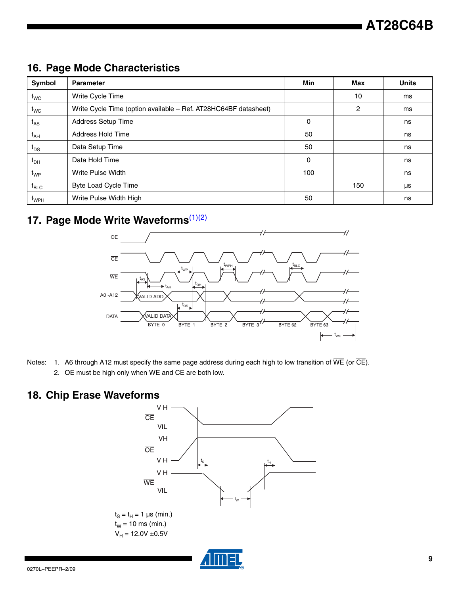## **16. Page Mode Characteristics**

| Symbol                         | <b>Parameter</b>                                                | Min          | Max | <b>Units</b> |
|--------------------------------|-----------------------------------------------------------------|--------------|-----|--------------|
| $t_{\mathsf{WC}}$              | Write Cycle Time                                                |              | 10  | ms           |
| $t_{\mathsf{WC}}$              | Write Cycle Time (option available - Ref. AT28HC64BF datasheet) |              | 2   | ms           |
| $t_{AS}$                       | <b>Address Setup Time</b>                                       | $\mathbf{0}$ |     | ns           |
| $t_{AH}$                       | Address Hold Time                                               | 50           |     | ns           |
| $t_{DS}$                       | Data Setup Time                                                 | 50           |     | ns           |
| $t_{DH}$                       | Data Hold Time                                                  | 0            |     | ns           |
| $t_{WP}$                       | Write Pulse Width                                               | 100          |     | ns           |
| $t_{\scriptstyle\textrm{BLC}}$ | <b>Byte Load Cycle Time</b>                                     |              | 150 | μs           |
| $\mathfrak{r}_{\text{WPH}}$    | Write Pulse Width High                                          | 50           |     | ns           |

# **17. Page Mode Write Waveforms**[\(1\)](#page-8-0)[\(2\)](#page-8-1)



- <span id="page-8-1"></span><span id="page-8-0"></span>Notes: 1. A6 through A12 must specify the same page address during each high to low transition of  $\overline{WE}$  (or  $\overline{CE}$ ).
	- 2.  $\overline{OE}$  must be high only when  $\overline{WE}$  and  $\overline{CE}$  are both low.

## **18. Chip Erase Waveforms**

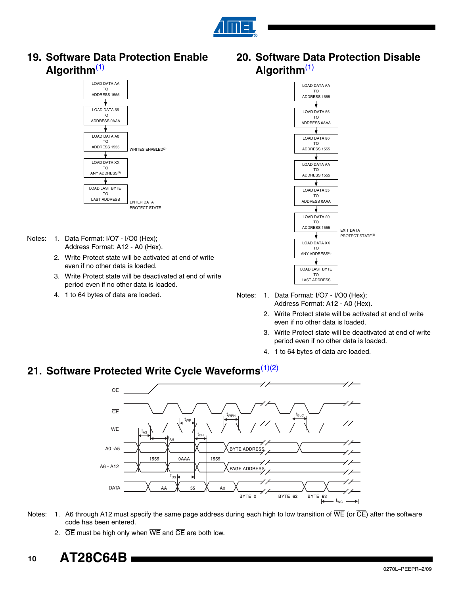

**19. Software Data Protection Enable Algorithm**[\(1\)](#page-9-1)



- Notes: 1. Data Format: I/O7 I/O0 (Hex); Address Format: A12 - A0 (Hex).
	- 2. Write Protect state will be activated at end of write even if no other data is loaded.
	- 3. Write Protect state will be deactivated at end of write period even if no other data is loaded.
	- 4. 1 to 64 bytes of data are loaded.

<span id="page-9-0"></span>**20. Software Data Protection Disable Algorithm**[\(1\)](#page-9-1)



<span id="page-9-1"></span>Notes: 1. Data Format: I/O7 - I/O0 (Hex); Address Format: A12 - A0 (Hex).

- 2. Write Protect state will be activated at end of write even if no other data is loaded.
- 3. Write Protect state will be deactivated at end of write period even if no other data is loaded.
- 4. 1 to 64 bytes of data are loaded.

#### **21. Software Protected Write Cycle Waveforms**[\(1\)](#page-9-2)[\(2\)](#page-9-3)



- <span id="page-9-3"></span><span id="page-9-2"></span>Notes: 1. A6 through A12 must specify the same page address during each high to low transition of  $\overline{WE}$  (or  $\overline{CE}$ ) after the software code has been entered.
	- 2.  $\overline{OE}$  must be high only when  $\overline{WE}$  and  $\overline{CE}$  are both low.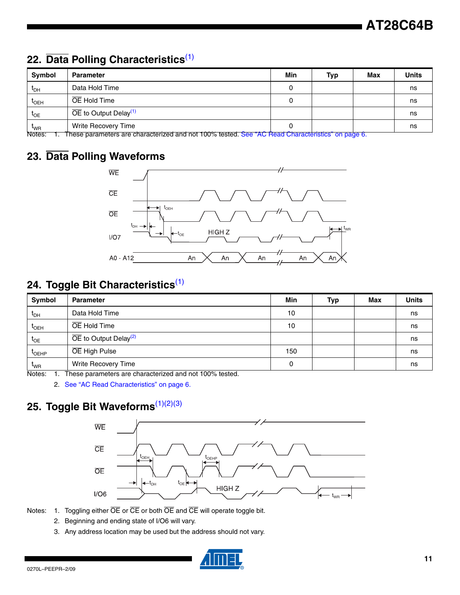## **22. Data Polling Characteristics**[\(1\)](#page-10-0)

| Symbol                       | <b>Parameter</b>                                                                                                                                                                                                                                                                                                                                                          | Min | <b>Typ</b> | <b>Max</b> | <b>Units</b> |
|------------------------------|---------------------------------------------------------------------------------------------------------------------------------------------------------------------------------------------------------------------------------------------------------------------------------------------------------------------------------------------------------------------------|-----|------------|------------|--------------|
| $t_{\sf DH}$                 | Data Hold Time                                                                                                                                                                                                                                                                                                                                                            |     |            |            | ns           |
| <sup>L</sup> OEH             | OE Hold Time                                                                                                                                                                                                                                                                                                                                                              |     |            |            | ns           |
| $t_{OE}$                     | $\overline{OE}$ to Output Delay <sup>(1)</sup>                                                                                                                                                                                                                                                                                                                            |     |            |            | ns           |
| $\rm t_{\rm WR}$<br>$\cdots$ | Write Recovery Time<br>$\mathbf{u} = \mathbf{u} - \mathbf{u}$ , and the contract of $\mathbf{u} = \mathbf{u}$ , $\mathbf{u} = \mathbf{u}$ , $\mathbf{u} = \mathbf{u}$ , $\mathbf{u} = \mathbf{u}$ , $\mathbf{u} = \mathbf{u}$ , $\mathbf{u} = \mathbf{u}$ , $\mathbf{u} = \mathbf{u}$ , $\mathbf{u} = \mathbf{u}$ , $\mathbf{u} = \mathbf{u}$ , $\mathbf{u} = \mathbf{u}$ |     |            |            | ns           |

<span id="page-10-0"></span>Notes: 1. These parameters are characterized and not 100% tested. [See "AC Read Characteristics" on page 6.](#page-5-4)

## **23. Data Polling Waveforms**



## **24. Toggle Bit Characteristics**[\(1\)](#page-10-1)

| Symbol                       | <b>Parameter</b>                               | Min | Typ | Max | <b>Units</b> |
|------------------------------|------------------------------------------------|-----|-----|-----|--------------|
| $\mathfrak{r}_{\mathsf{DH}}$ | Data Hold Time                                 | 10  |     |     | ns           |
| $t_{\text{OEH}}$             | OE Hold Time                                   | 10  |     |     | ns           |
| $t_{OE}$                     | $\overline{OE}$ to Output Delay <sup>(2)</sup> |     |     |     | ns           |
| $I_{OEHP}$                   | OE High Pulse                                  | 150 |     |     | ns           |
| $t_{WR}$                     | Write Recovery Time                            | 0   |     |     | ns           |

<span id="page-10-2"></span><span id="page-10-1"></span>Notes: 1. These parameters are characterized and not 100% tested.

2. [See "AC Read Characteristics" on page 6.](#page-5-4)

## **25. Toggle Bit Waveforms**[\(1\)](#page-10-3)[\(2\)](#page-10-4)[\(3\)](#page-10-5)



- <span id="page-10-5"></span><span id="page-10-4"></span><span id="page-10-3"></span>Notes: 1. Toggling either  $\overline{OE}$  or  $\overline{CE}$  or both  $\overline{OE}$  and  $\overline{CE}$  will operate toggle bit.
	- 2. Beginning and ending state of I/O6 will vary.
	- 3. Any address location may be used but the address should not vary.

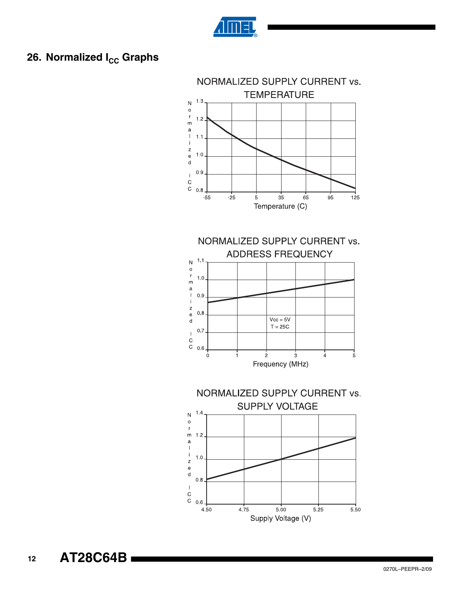

## **26. Normalized I<sub>CC</sub> Graphs**

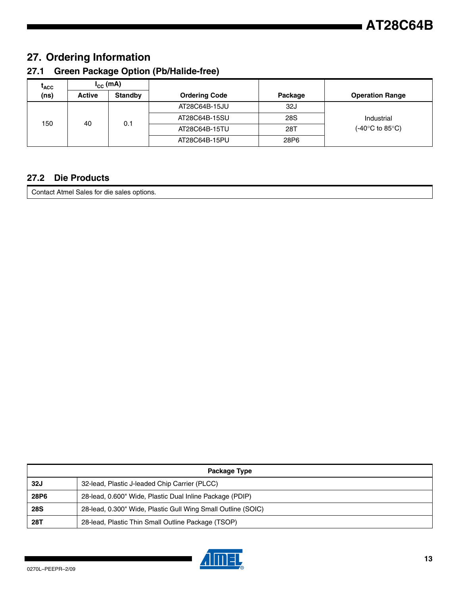## **27. Ordering Information**

#### **27.1 Green Package Option (Pb/Halide-free)**

| <sup>L</sup> ACC | $I_{\text{cc}}$ (mA) |                |                      |            |                                     |
|------------------|----------------------|----------------|----------------------|------------|-------------------------------------|
| (ns)             | <b>Active</b>        | <b>Standby</b> | <b>Ordering Code</b> | Package    | <b>Operation Range</b>              |
|                  |                      |                | AT28C64B-15JU        | 32J        |                                     |
| 150              | 40                   | 0.1            | AT28C64B-15SU        | <b>28S</b> | Industrial                          |
|                  |                      |                | AT28C64B-15TU        | 28T        | (-40 $\degree$ C to 85 $\degree$ C) |
|                  |                      |                | AT28C64B-15PU        | 28P6       |                                     |

#### **27.2 Die Products**

Contact Atmel Sales for die sales options.

| Package Type |                                                              |
|--------------|--------------------------------------------------------------|
| 32J          | 32-lead, Plastic J-leaded Chip Carrier (PLCC)                |
| <b>28P6</b>  | 28-lead, 0.600" Wide, Plastic Dual Inline Package (PDIP)     |
| <b>28S</b>   | 28-lead, 0.300" Wide, Plastic Gull Wing Small Outline (SOIC) |
| 28T          | 28-lead, Plastic Thin Small Outline Package (TSOP)           |

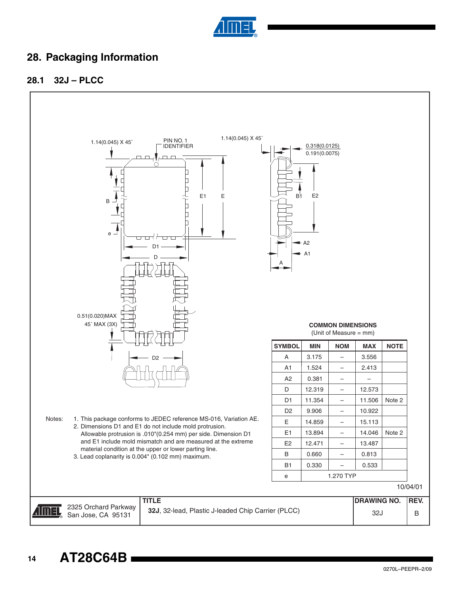

## **28. Packaging Information**

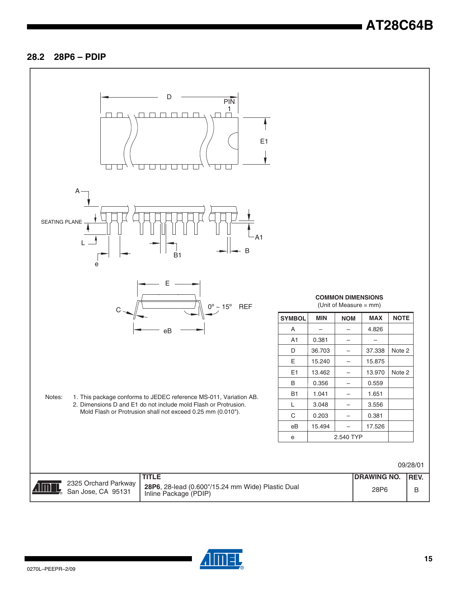#### **28.2 28P6 – PDIP**



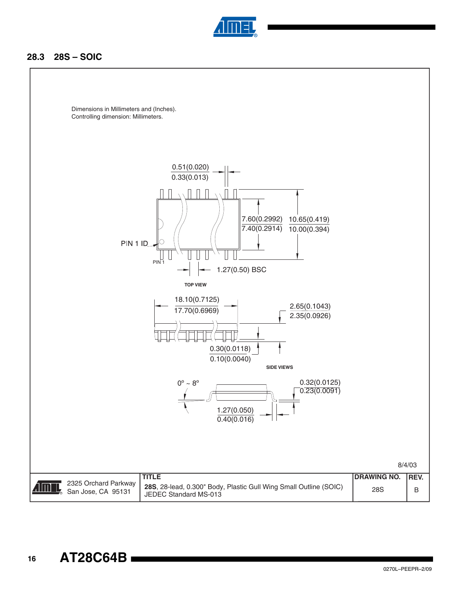

#### **28.3 28S – SOIC**

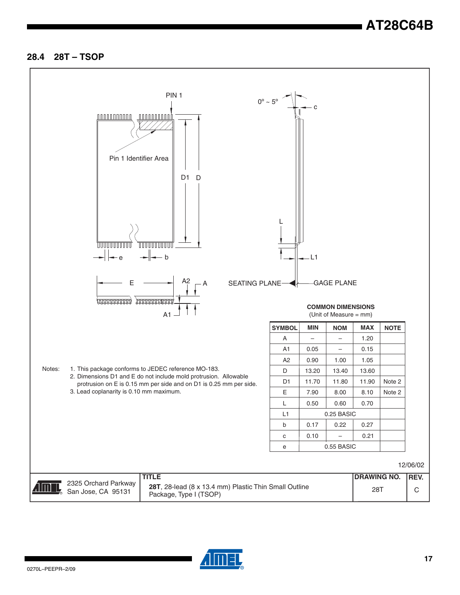#### **28.4 28T – TSOP**